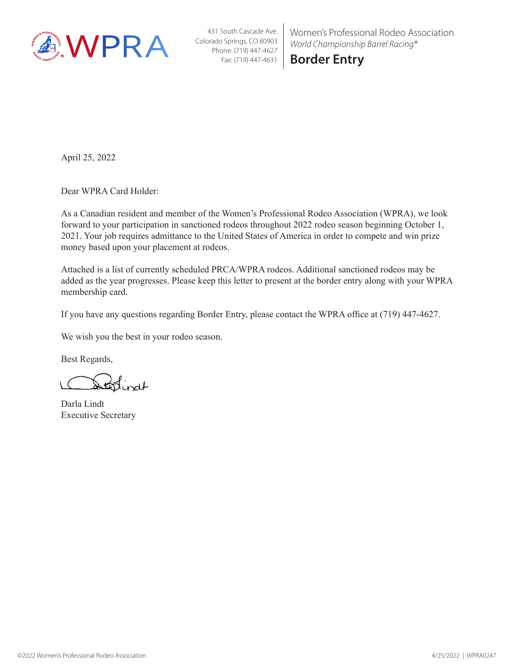

Women's Professional Rodeo Association *World Championship Barrel Racing®*

**Border Entry**

April 25, 2022

Dear WPRA Card Holder:

As a Canadian resident and member of the Women's Professional Rodeo Association (WPRA), we look forward to your participation in sanctioned rodeos throughout 2022 rodeo season beginning October 1, 2021. Your job requires admittance to the United States of America in order to compete and win prize money based upon your placement at rodeos.

Attached is a list of currently scheduled PRCA/WPRA rodeos. Additional sanctioned rodeos may be added as the year progresses. Please keep this letter to present at the border entry along with your WPRA membership card.

If you have any questions regarding Border Entry, please contact the WPRA office at (719) 447-4627.

We wish you the best in your rodeo season.

Best Regards,

terrindt

Darla Lindt Executive Secretary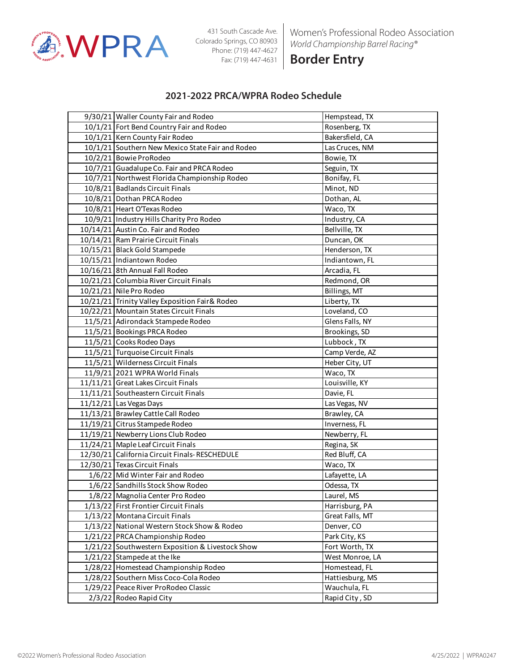

Women's Professional Rodeo Association *World Championship Barrel Racing®*

**Border Entry**

#### **2021-2022 PRCA/WPRA Rodeo Schedule**

| 9/30/21 Waller County Fair and Rodeo             | Hempstead, TX   |
|--------------------------------------------------|-----------------|
| 10/1/21 Fort Bend Country Fair and Rodeo         | Rosenberg, TX   |
| 10/1/21 Kern County Fair Rodeo                   | Bakersfield, CA |
| 10/1/21 Southern New Mexico State Fair and Rodeo | Las Cruces, NM  |
| 10/2/21 Bowie ProRodeo                           | Bowie, TX       |
| 10/7/21 Guadalupe Co. Fair and PRCA Rodeo        | Seguin, TX      |
| 10/7/21 Northwest Florida Championship Rodeo     | Bonifay, FL     |
| 10/8/21 Badlands Circuit Finals                  | Minot, ND       |
| 10/8/21 Dothan PRCA Rodeo                        | Dothan, AL      |
| 10/8/21 Heart O'Texas Rodeo                      | Waco, TX        |
| 10/9/21 Industry Hills Charity Pro Rodeo         | Industry, CA    |
| 10/14/21 Austin Co. Fair and Rodeo               | Bellville, TX   |
| 10/14/21 Ram Prairie Circuit Finals              | Duncan, OK      |
| 10/15/21 Black Gold Stampede                     | Henderson, TX   |
| 10/15/21 Indiantown Rodeo                        | Indiantown, FL  |
| 10/16/21 8th Annual Fall Rodeo                   | Arcadia, FL     |
| 10/21/21 Columbia River Circuit Finals           | Redmond, OR     |
| 10/21/21 Nile Pro Rodeo                          | Billings, MT    |
| 10/21/21 Trinity Valley Exposition Fair& Rodeo   | Liberty, TX     |
| 10/22/21 Mountain States Circuit Finals          | Loveland, CO    |
| 11/5/21 Adirondack Stampede Rodeo                | Glens Falls, NY |
| 11/5/21 Bookings PRCA Rodeo                      | Brookings, SD   |
| 11/5/21 Cooks Rodeo Days                         | Lubbock, TX     |
| 11/5/21 Turquoise Circuit Finals                 | Camp Verde, AZ  |
| 11/5/21 Wilderness Circuit Finals                | Heber City, UT  |
| 11/9/21 2021 WPRA World Finals                   | Waco, TX        |
| 11/11/21 Great Lakes Circuit Finals              | Louisville, KY  |
| 11/11/21 Southeastern Circuit Finals             | Davie, FL       |
| 11/12/21 Las Vegas Days                          | Las Vegas, NV   |
| 11/13/21 Brawley Cattle Call Rodeo               | Brawley, CA     |
| 11/19/21 Citrus Stampede Rodeo                   | Inverness, FL   |
| 11/19/21 Newberry Lions Club Rodeo               | Newberry, FL    |
| 11/24/21 Maple Leaf Circuit Finals               | Regina, SK      |
| 12/30/21 California Circuit Finals-RESCHEDULE    | Red Bluff, CA   |
| 12/30/21 Texas Circuit Finals                    | Waco, TX        |
| 1/6/22 Mid Winter Fair and Rodeo                 | Lafayette, LA   |
| 1/6/22 Sandhills Stock Show Rodeo                | Odessa, TX      |
| 1/8/22 Magnolia Center Pro Rodeo                 | Laurel, MS      |
| 1/13/22 First Frontier Circuit Finals            | Harrisburg, PA  |
| 1/13/22 Montana Circuit Finals                   | Great Falls, MT |
| 1/13/22 National Western Stock Show & Rodeo      | Denver, CO      |
| 1/21/22 PRCA Championship Rodeo                  | Park City, KS   |
| 1/21/22 Southwestern Exposition & Livestock Show | Fort Worth, TX  |
| 1/21/22 Stampede at the Ike                      | West Monroe, LA |
| 1/28/22 Homestead Championship Rodeo             | Homestead, FL   |
| 1/28/22 Southern Miss Coco-Cola Rodeo            | Hattiesburg, MS |
| 1/29/22 Peace River ProRodeo Classic             | Wauchula, FL    |
| 2/3/22 Rodeo Rapid City                          | Rapid City, SD  |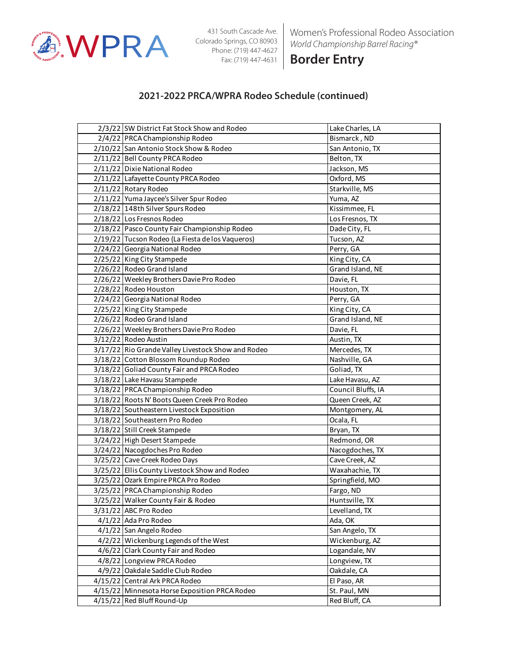

Women's Professional Rodeo Association *World Championship Barrel Racing®*

**Border Entry**

| 2/3/22 SW District Fat Stock Show and Rodeo        | Lake Charles, LA   |
|----------------------------------------------------|--------------------|
| 2/4/22 PRCA Championship Rodeo                     | Bismarck, ND       |
| 2/10/22 San Antonio Stock Show & Rodeo             | San Antonio, TX    |
| 2/11/22 Bell County PRCA Rodeo                     | Belton, TX         |
| 2/11/22 Dixie National Rodeo                       | Jackson, MS        |
| 2/11/22 Lafayette County PRCA Rodeo                | Oxford, MS         |
| 2/11/22 Rotary Rodeo                               | Starkville, MS     |
| 2/11/22 Yuma Jaycee's Silver Spur Rodeo            | Yuma, AZ           |
| 2/18/22 148th Silver Spurs Rodeo                   | Kissimmee, FL      |
| 2/18/22 Los Fresnos Rodeo                          | Los Fresnos, TX    |
| 2/18/22 Pasco County Fair Championship Rodeo       | Dade City, FL      |
| 2/19/22 Tucson Rodeo (La Fiesta de los Vaqueros)   | Tucson, AZ         |
| 2/24/22 Georgia National Rodeo                     | Perry, GA          |
| 2/25/22 King City Stampede                         | King City, CA      |
| 2/26/22 Rodeo Grand Island                         | Grand Island, NE   |
| 2/26/22 Weekley Brothers Davie Pro Rodeo           | Davie, FL          |
| 2/28/22 Rodeo Houston                              | Houston, TX        |
| 2/24/22 Georgia National Rodeo                     | Perry, GA          |
| 2/25/22 King City Stampede                         | King City, CA      |
| 2/26/22 Rodeo Grand Island                         | Grand Island, NE   |
| 2/26/22 Weekley Brothers Davie Pro Rodeo           | Davie, FL          |
| 3/12/22 Rodeo Austin                               | Austin, TX         |
| 3/17/22 Rio Grande Valley Livestock Show and Rodeo | Mercedes, TX       |
| 3/18/22 Cotton Blossom Roundup Rodeo               | Nashville, GA      |
| 3/18/22 Goliad County Fair and PRCA Rodeo          | Goliad, TX         |
| 3/18/22 Lake Havasu Stampede                       | Lake Havasu, AZ    |
| 3/18/22 PRCA Championship Rodeo                    | Council Bluffs, IA |
| 3/18/22 Roots N' Boots Queen Creek Pro Rodeo       | Queen Creek, AZ    |
| 3/18/22 Southeastern Livestock Exposition          | Montgomery, AL     |
| 3/18/22 Southeastern Pro Rodeo                     | Ocala, FL          |
| 3/18/22 Still Creek Stampede                       | Bryan, TX          |
| 3/24/22 High Desert Stampede                       | Redmond, OR        |
| 3/24/22 Nacogdoches Pro Rodeo                      | Nacogdoches, TX    |
| 3/25/22 Cave Creek Rodeo Days                      | Cave Creek, AZ     |
| 3/25/22 Ellis County Livestock Show and Rodeo      | Waxahachie, TX     |
| 3/25/22 Ozark Empire PRCA Pro Rodeo                | Springfield, MO    |
| 3/25/22 PRCA Championship Rodeo                    | Fargo, ND          |
| 3/25/22 Walker County Fair & Rodeo                 | Huntsville, TX     |
| 3/31/22 ABC Pro Rodeo                              | Levelland, TX      |
| 4/1/22 Ada Pro Rodeo                               | Ada, OK            |
| 4/1/22 San Angelo Rodeo                            | San Angelo, TX     |
| 4/2/22 Wickenburg Legends of the West              | Wickenburg, AZ     |
| 4/6/22 Clark County Fair and Rodeo                 | Logandale, NV      |
| 4/8/22 Longview PRCA Rodeo                         | Longview, TX       |
| 4/9/22 Oakdale Saddle Club Rodeo                   | Oakdale, CA        |
| 4/15/22 Central Ark PRCA Rodeo                     | El Paso, AR        |
| 4/15/22 Minnesota Horse Exposition PRCA Rodeo      | St. Paul, MN       |
| 4/15/22 Red Bluff Round-Up                         | Red Bluff, CA      |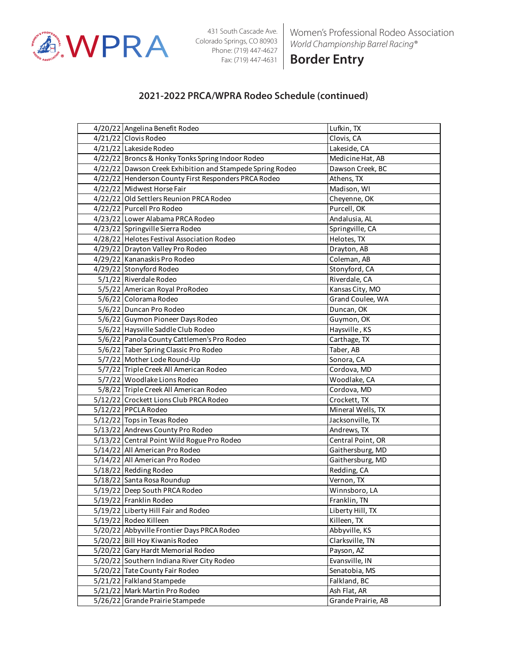

Women's Professional Rodeo Association *World Championship Barrel Racing®*

**Border Entry**

| 4/20/22 Angelina Benefit Rodeo                            | Lufkin, TX         |
|-----------------------------------------------------------|--------------------|
| 4/21/22 Clovis Rodeo                                      | Clovis, CA         |
| 4/21/22 Lakeside Rodeo                                    | Lakeside, CA       |
| 4/22/22 Broncs & Honky Tonks Spring Indoor Rodeo          | Medicine Hat, AB   |
| 4/22/22 Dawson Creek Exhibition and Stampede Spring Rodeo | Dawson Creek, BC   |
| 4/22/22 Henderson County First Responders PRCA Rodeo      | Athens, TX         |
| 4/22/22 Midwest Horse Fair                                | Madison, WI        |
| 4/22/22 Old Settlers Reunion PRCA Rodeo                   | Cheyenne, OK       |
| 4/22/22 Purcell Pro Rodeo                                 | Purcell, OK        |
| 4/23/22 Lower Alabama PRCA Rodeo                          | Andalusia, AL      |
| 4/23/22 Springville Sierra Rodeo                          | Springville, CA    |
| 4/28/22 Helotes Festival Association Rodeo                | Helotes, TX        |
| 4/29/22 Drayton Valley Pro Rodeo                          | Drayton, AB        |
| 4/29/22 Kananaskis Pro Rodeo                              | Coleman, AB        |
| 4/29/22 Stonyford Rodeo                                   | Stonyford, CA      |
| 5/1/22 Riverdale Rodeo                                    | Riverdale, CA      |
| 5/5/22 American Royal ProRodeo                            | Kansas City, MO    |
| 5/6/22 Colorama Rodeo                                     | Grand Coulee, WA   |
| 5/6/22 Duncan Pro Rodeo                                   | Duncan, OK         |
| 5/6/22 Guymon Pioneer Days Rodeo                          | Guymon, OK         |
| 5/6/22 Haysville Saddle Club Rodeo                        | Haysville, KS      |
| 5/6/22 Panola County Cattlemen's Pro Rodeo                | Carthage, TX       |
| 5/6/22 Taber Spring Classic Pro Rodeo                     | Taber, AB          |
| 5/7/22 Mother Lode Round-Up                               | Sonora, CA         |
| 5/7/22 Triple Creek All American Rodeo                    | Cordova, MD        |
| 5/7/22 Woodlake Lions Rodeo                               | Woodlake, CA       |
| 5/8/22 Triple Creek All American Rodeo                    | Cordova, MD        |
| 5/12/22 Crockett Lions Club PRCA Rodeo                    | Crockett, TX       |
| 5/12/22 PPCLA Rodeo                                       | Mineral Wells, TX  |
| 5/12/22 Tops in Texas Rodeo                               | Jacksonville, TX   |
| 5/13/22 Andrews County Pro Rodeo                          | Andrews, TX        |
| 5/13/22 Central Point Wild Rogue Pro Rodeo                | Central Point, OR  |
| 5/14/22 All American Pro Rodeo                            | Gaithersburg, MD   |
| 5/14/22 All American Pro Rodeo                            | Gaithersburg, MD   |
| 5/18/22 Redding Rodeo                                     | Redding, CA        |
| 5/18/22 Santa Rosa Roundup                                | Vernon, TX         |
| 5/19/22 Deep South PRCA Rodeo                             | Winnsboro, LA      |
| 5/19/22 Franklin Rodeo                                    | Franklin, TN       |
| 5/19/22 Liberty Hill Fair and Rodeo                       | Liberty Hill, TX   |
| 5/19/22 Rodeo Killeen                                     | Killeen, TX        |
| 5/20/22 Abbyville Frontier Days PRCA Rodeo                | Abbyville, KS      |
| 5/20/22 Bill Hoy Kiwanis Rodeo                            | Clarksville, TN    |
| 5/20/22 Gary Hardt Memorial Rodeo                         | Payson, AZ         |
| 5/20/22 Southern Indiana River City Rodeo                 | Evansville, IN     |
| 5/20/22 Tate County Fair Rodeo                            | Senatobia, MS      |
| 5/21/22 Falkland Stampede                                 | Falkland, BC       |
| 5/21/22 Mark Martin Pro Rodeo                             | Ash Flat, AR       |
| 5/26/22 Grande Prairie Stampede                           | Grande Prairie, AB |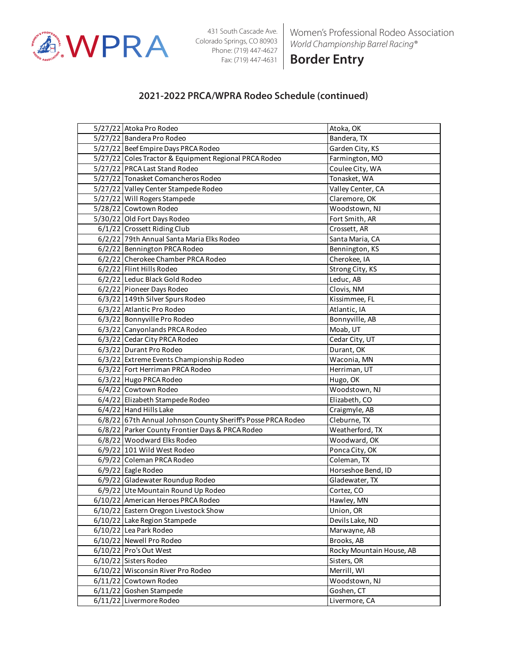

Women's Professional Rodeo Association *World Championship Barrel Racing®*

**Border Entry**

| 5/27/22 Atoka Pro Rodeo                                      | Atoka, OK                |
|--------------------------------------------------------------|--------------------------|
| 5/27/22 Bandera Pro Rodeo                                    | Bandera, TX              |
| 5/27/22 Beef Empire Days PRCA Rodeo                          | Garden City, KS          |
| 5/27/22 Coles Tractor & Equipment Regional PRCA Rodeo        | Farmington, MO           |
| 5/27/22 PRCA Last Stand Rodeo                                | Coulee City, WA          |
| 5/27/22 Tonasket Comancheros Rodeo                           | Tonasket, WA             |
| 5/27/22 Valley Center Stampede Rodeo                         | Valley Center, CA        |
| 5/27/22 Will Rogers Stampede                                 | Claremore, OK            |
| 5/28/22 Cowtown Rodeo                                        | Woodstown, NJ            |
| 5/30/22 Old Fort Days Rodeo                                  | Fort Smith, AR           |
| 6/1/22 Crossett Riding Club                                  | Crossett, AR             |
| 6/2/22 79th Annual Santa Maria Elks Rodeo                    | Santa Maria, CA          |
| 6/2/22 Bennington PRCA Rodeo                                 | Bennington, KS           |
| 6/2/22 Cherokee Chamber PRCA Rodeo                           | Cherokee, IA             |
| 6/2/22 Flint Hills Rodeo                                     | Strong City, KS          |
| 6/2/22 Leduc Black Gold Rodeo                                | Leduc, AB                |
| 6/2/22 Pioneer Days Rodeo                                    | Clovis, NM               |
| 6/3/22 149th Silver Spurs Rodeo                              | Kissimmee, FL            |
| 6/3/22 Atlantic Pro Rodeo                                    | Atlantic, IA             |
| 6/3/22 Bonnyville Pro Rodeo                                  | Bonnyville, AB           |
| 6/3/22 Canyonlands PRCA Rodeo                                | Moab, UT                 |
| 6/3/22 Cedar City PRCA Rodeo                                 | Cedar City, UT           |
| 6/3/22 Durant Pro Rodeo                                      | Durant, OK               |
| 6/3/22 Extreme Events Championship Rodeo                     | Waconia, MN              |
| 6/3/22 Fort Herriman PRCA Rodeo                              | Herriman, UT             |
| 6/3/22 Hugo PRCA Rodeo                                       | Hugo, OK                 |
| 6/4/22 Cowtown Rodeo                                         | Woodstown, NJ            |
| 6/4/22 Elizabeth Stampede Rodeo                              | Elizabeth, CO            |
| 6/4/22 Hand Hills Lake                                       | Craigmyle, AB            |
| 6/8/22 67th Annual Johnson County Sheriff's Posse PRCA Rodeo | Cleburne, TX             |
| 6/8/22 Parker County Frontier Days & PRCA Rodeo              | Weatherford, TX          |
| 6/8/22 Woodward Elks Rodeo                                   | Woodward, OK             |
| 6/9/22 101 Wild West Rodeo                                   | Ponca City, OK           |
| 6/9/22 Coleman PRCA Rodeo                                    | Coleman, TX              |
| 6/9/22 Eagle Rodeo                                           | Horseshoe Bend, ID       |
| 6/9/22 Gladewater Roundup Rodeo                              | Gladewater, TX           |
| 6/9/22 Ute Mountain Round Up Rodeo                           | Cortez, CO               |
| 6/10/22 American Heroes PRCA Rodeo                           | Hawley, MN               |
| 6/10/22 Eastern Oregon Livestock Show                        | Union, OR                |
| 6/10/22 Lake Region Stampede                                 | Devils Lake, ND          |
| 6/10/22 Lea Park Rodeo                                       | Marwayne, AB             |
| 6/10/22 Newell Pro Rodeo                                     | Brooks, AB               |
| 6/10/22 Pro's Out West                                       | Rocky Mountain House, AB |
| 6/10/22 Sisters Rodeo                                        | Sisters, OR              |
| 6/10/22 Wisconsin River Pro Rodeo                            | Merrill, WI              |
| 6/11/22 Cowtown Rodeo                                        | Woodstown, NJ            |
| 6/11/22 Goshen Stampede                                      | Goshen, CT               |
| 6/11/22 Livermore Rodeo                                      | Livermore, CA            |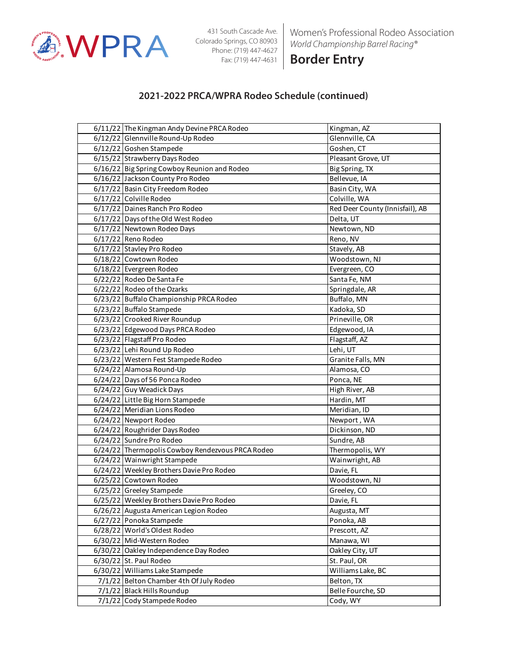

Women's Professional Rodeo Association *World Championship Barrel Racing®*

**Border Entry**

| 6/11/22 The Kingman Andy Devine PRCA Rodeo       | Kingman, AZ                     |
|--------------------------------------------------|---------------------------------|
| 6/12/22 Glennville Round-Up Rodeo                | Glennville, CA                  |
| 6/12/22 Goshen Stampede                          | Goshen, CT                      |
| 6/15/22 Strawberry Days Rodeo                    | Pleasant Grove, UT              |
| 6/16/22 Big Spring Cowboy Reunion and Rodeo      | Big Spring, TX                  |
| 6/16/22 Jackson County Pro Rodeo                 | Bellevue, IA                    |
| 6/17/22 Basin City Freedom Rodeo                 | Basin City, WA                  |
| 6/17/22 Colville Rodeo                           | Colville, WA                    |
| 6/17/22 Daines Ranch Pro Rodeo                   | Red Deer County (Innisfail), AB |
| 6/17/22 Days of the Old West Rodeo               | Delta, UT                       |
| 6/17/22 Newtown Rodeo Days                       | Newtown, ND                     |
| 6/17/22 Reno Rodeo                               | Reno, NV                        |
| 6/17/22 Stavley Pro Rodeo                        | Stavely, AB                     |
| 6/18/22 Cowtown Rodeo                            | Woodstown, NJ                   |
| 6/18/22 Evergreen Rodeo                          | Evergreen, CO                   |
| 6/22/22 Rodeo De Santa Fe                        | Santa Fe, NM                    |
| 6/22/22 Rodeo of the Ozarks                      | Springdale, AR                  |
| 6/23/22 Buffalo Championship PRCA Rodeo          | Buffalo, MN                     |
| 6/23/22 Buffalo Stampede                         | Kadoka, SD                      |
| 6/23/22 Crooked River Roundup                    | Prineville, OR                  |
| 6/23/22 Edgewood Days PRCA Rodeo                 | Edgewood, IA                    |
| 6/23/22 Flagstaff Pro Rodeo                      | Flagstaff, AZ                   |
| 6/23/22 Lehi Round Up Rodeo                      | Lehi, UT                        |
| 6/23/22 Western Fest Stampede Rodeo              | Granite Falls, MN               |
| 6/24/22 Alamosa Round-Up                         | Alamosa, CO                     |
| 6/24/22 Days of 56 Ponca Rodeo                   | Ponca, NE                       |
| 6/24/22 Guy Weadick Days                         | High River, AB                  |
| 6/24/22 Little Big Horn Stampede                 | Hardin, MT                      |
| 6/24/22 Meridian Lions Rodeo                     | Meridian, ID                    |
| 6/24/22 Newport Rodeo                            | Newport, WA                     |
| 6/24/22 Roughrider Days Rodeo                    | Dickinson, ND                   |
| 6/24/22 Sundre Pro Rodeo                         | Sundre, AB                      |
| 6/24/22 Thermopolis Cowboy Rendezvous PRCA Rodeo | Thermopolis, WY                 |
| 6/24/22 Wainwright Stampede                      | Wainwright, AB                  |
| 6/24/22 Weekley Brothers Davie Pro Rodeo         | Davie, FL                       |
| 6/25/22 Cowtown Rodeo                            | Woodstown, NJ                   |
| 6/25/22 Greeley Stampede                         | Greeley, CO                     |
| 6/25/22 Weekley Brothers Davie Pro Rodeo         | Davie, FL                       |
| 6/26/22 Augusta American Legion Rodeo            | Augusta, MT                     |
| 6/27/22 Ponoka Stampede                          | Ponoka, AB                      |
| 6/28/22 World's Oldest Rodeo                     | Prescott, AZ                    |
| 6/30/22 Mid-Western Rodeo                        | Manawa, WI                      |
| 6/30/22 Oakley Independence Day Rodeo            | Oakley City, UT                 |
| 6/30/22 St. Paul Rodeo                           | St. Paul, OR                    |
| 6/30/22 Williams Lake Stampede                   | Williams Lake, BC               |
| 7/1/22 Belton Chamber 4th Of July Rodeo          | Belton, TX                      |
| 7/1/22 Black Hills Roundup                       | Belle Fourche, SD               |
| 7/1/22 Cody Stampede Rodeo                       | Cody, WY                        |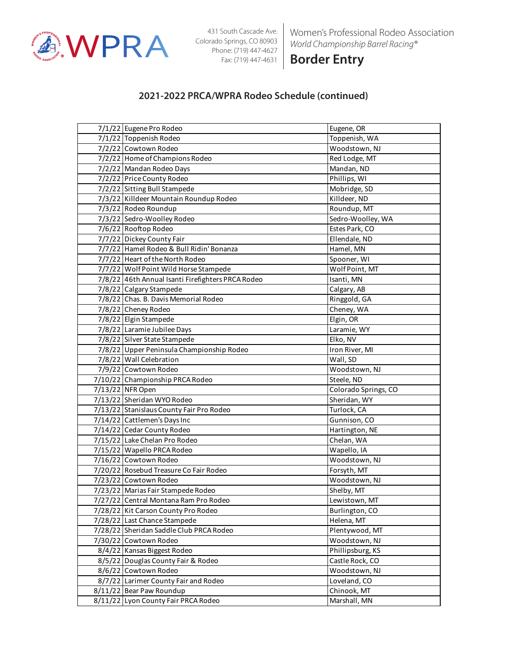

Women's Professional Rodeo Association *World Championship Barrel Racing®*

**Border Entry**

| 7/1/22 Eugene Pro Rodeo                           | Eugene, OR           |
|---------------------------------------------------|----------------------|
| 7/1/22 Toppenish Rodeo                            | Toppenish, WA        |
| 7/2/22 Cowtown Rodeo                              | Woodstown, NJ        |
| 7/2/22 Home of Champions Rodeo                    | Red Lodge, MT        |
| 7/2/22 Mandan Rodeo Days                          | Mandan, ND           |
| 7/2/22 Price County Rodeo                         | Phillips, WI         |
| 7/2/22 Sitting Bull Stampede                      | Mobridge, SD         |
| 7/3/22 Killdeer Mountain Roundup Rodeo            | Killdeer, ND         |
| 7/3/22 Rodeo Roundup                              | Roundup, MT          |
| 7/3/22 Sedro-Woolley Rodeo                        | Sedro-Woolley, WA    |
| 7/6/22 Rooftop Rodeo                              | Estes Park, CO       |
| 7/7/22 Dickey County Fair                         | Ellendale, ND        |
| 7/7/22 Hamel Rodeo & Bull Ridin' Bonanza          | Hamel, MN            |
| 7/7/22 Heart of the North Rodeo                   | Spooner, WI          |
| 7/7/22 Wolf Point Wild Horse Stampede             | Wolf Point, MT       |
| 7/8/22 46th Annual Isanti Firefighters PRCA Rodeo | Isanti, MN           |
| 7/8/22 Calgary Stampede                           | Calgary, AB          |
| 7/8/22 Chas. B. Davis Memorial Rodeo              | Ringgold, GA         |
| 7/8/22 Cheney Rodeo                               | Cheney, WA           |
| 7/8/22 Elgin Stampede                             | Elgin, OR            |
| 7/8/22 Laramie Jubilee Days                       | Laramie, WY          |
| 7/8/22 Silver State Stampede                      | Elko, NV             |
| 7/8/22 Upper Peninsula Championship Rodeo         | Iron River, MI       |
| 7/8/22 Wall Celebration                           | Wall, SD             |
| 7/9/22 Cowtown Rodeo                              | Woodstown, NJ        |
| 7/10/22 Championship PRCA Rodeo                   | Steele, ND           |
| 7/13/22 NFR Open                                  | Colorado Springs, CO |
| 7/13/22 Sheridan WYO Rodeo                        | Sheridan, WY         |
| 7/13/22 Stanislaus County Fair Pro Rodeo          | Turlock, CA          |
| 7/14/22 Cattlemen's Days Inc                      | Gunnison, CO         |
| 7/14/22 Cedar County Rodeo                        | Hartington, NE       |
| 7/15/22 Lake Chelan Pro Rodeo                     | Chelan, WA           |
| 7/15/22 Wapello PRCA Rodeo                        | Wapello, IA          |
| 7/16/22 Cowtown Rodeo                             | Woodstown, NJ        |
| 7/20/22 Rosebud Treasure Co Fair Rodeo            | Forsyth, MT          |
| 7/23/22 Cowtown Rodeo                             | Woodstown, NJ        |
| 7/23/22 Marias Fair Stampede Rodeo                | Shelby, MT           |
| 7/27/22 Central Montana Ram Pro Rodeo             | Lewistown, MT        |
| 7/28/22 Kit Carson County Pro Rodeo               | Burlington, CO       |
| 7/28/22 Last Chance Stampede                      | Helena, MT           |
| 7/28/22 Sheridan Saddle Club PRCA Rodeo           | Plentywood, MT       |
| 7/30/22 Cowtown Rodeo                             | Woodstown, NJ        |
| 8/4/22 Kansas Biggest Rodeo                       | Phillipsburg, KS     |
| 8/5/22 Douglas County Fair & Rodeo                | Castle Rock, CO      |
| 8/6/22 Cowtown Rodeo                              | Woodstown, NJ        |
| 8/7/22 Larimer County Fair and Rodeo              | Loveland, CO         |
|                                                   |                      |
| 8/11/22 Bear Paw Roundup                          | Chinook, MT          |